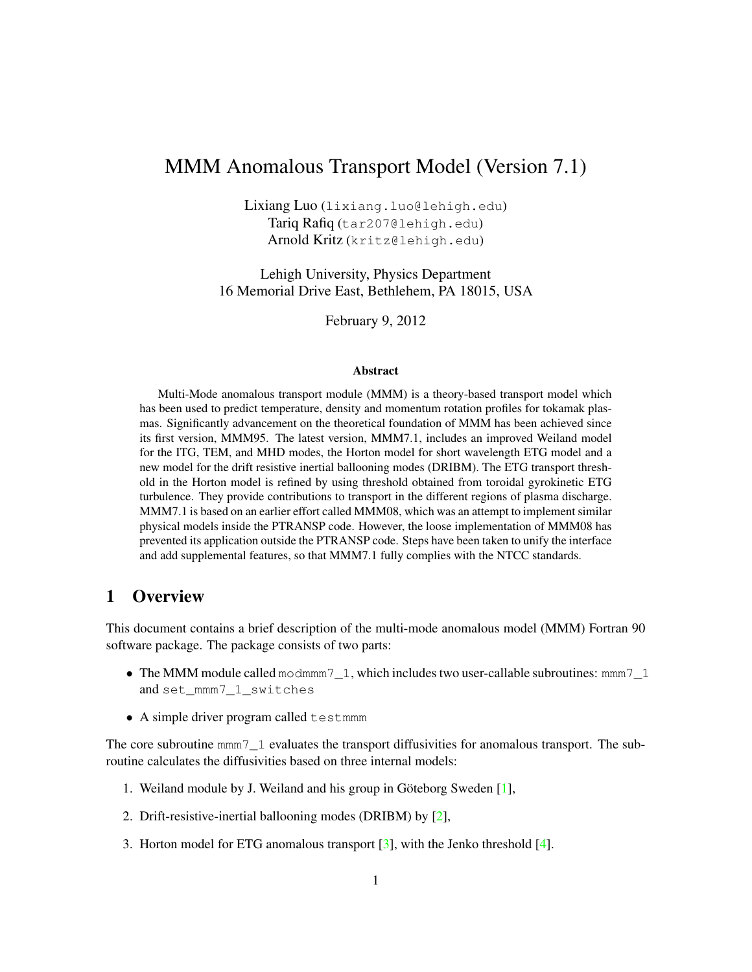# MMM Anomalous Transport Model (Version 7.1)

Lixiang Luo (lixiang.luo@lehigh.edu) Tariq Rafiq (tar207@lehigh.edu) Arnold Kritz (kritz@lehigh.edu)

Lehigh University, Physics Department 16 Memorial Drive East, Bethlehem, PA 18015, USA

February 9, 2012

#### **Abstract**

Multi-Mode anomalous transport module (MMM) is a theory-based transport model which has been used to predict temperature, density and momentum rotation profiles for tokamak plasmas. Significantly advancement on the theoretical foundation of MMM has been achieved since its first version, MMM95. The latest version, MMM7.1, includes an improved Weiland model for the ITG, TEM, and MHD modes, the Horton model for short wavelength ETG model and a new model for the drift resistive inertial ballooning modes (DRIBM). The ETG transport threshold in the Horton model is refined by using threshold obtained from toroidal gyrokinetic ETG turbulence. They provide contributions to transport in the different regions of plasma discharge. MMM7.1 is based on an earlier effort called MMM08, which was an attempt to implement similar physical models inside the PTRANSP code. However, the loose implementation of MMM08 has prevented its application outside the PTRANSP code. Steps have been taken to unify the interface and add supplemental features, so that MMM7.1 fully complies with the NTCC standards.

### 1 Overview

This document contains a brief description of the multi-mode anomalous model (MMM) Fortran 90 software package. The package consists of two parts:

- The MMM module called modmmm $7\_1$ , which includes two user-callable subroutines: mmm $7\_1$ and set\_mmm7\_1\_switches
- A simple driver program called testmmm

The core subroutine mmm7\_1 evaluates the transport diffusivities for anomalous transport. The subroutine calculates the diffusivities based on three internal models:

- 1. Weiland module by J. Weiland and his group in Göteborg Sweden [\[1\]](#page-13-0),
- 2. Drift-resistive-inertial ballooning modes (DRIBM) by [\[2\]](#page-13-1),
- 3. Horton model for ETG anomalous transport [\[3\]](#page-13-2), with the Jenko threshold [\[4\]](#page-13-3).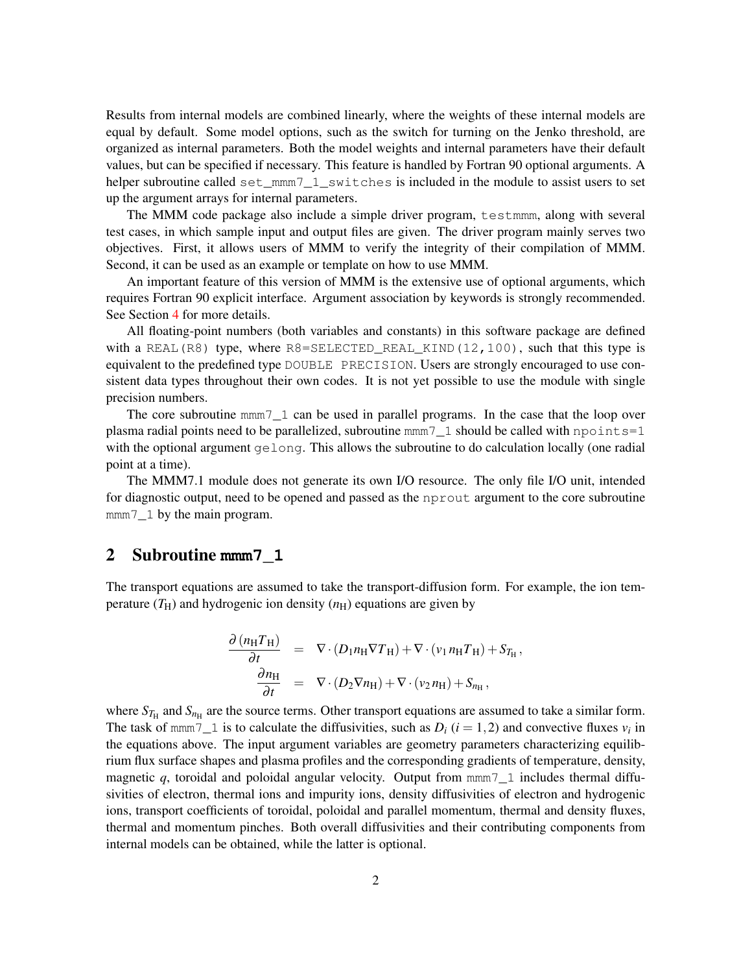Results from internal models are combined linearly, where the weights of these internal models are equal by default. Some model options, such as the switch for turning on the Jenko threshold, are organized as internal parameters. Both the model weights and internal parameters have their default values, but can be specified if necessary. This feature is handled by Fortran 90 optional arguments. A helper subroutine called set\_mmm7\_1\_switches is included in the module to assist users to set up the argument arrays for internal parameters.

The MMM code package also include a simple driver program, testmmm, along with several test cases, in which sample input and output files are given. The driver program mainly serves two objectives. First, it allows users of MMM to verify the integrity of their compilation of MMM. Second, it can be used as an example or template on how to use MMM.

An important feature of this version of MMM is the extensive use of optional arguments, which requires Fortran 90 explicit interface. Argument association by keywords is strongly recommended. See Section [4](#page-7-0) for more details.

All floating-point numbers (both variables and constants) in this software package are defined with a REAL(R8) type, where R8=SELECTED\_REAL\_KIND(12,100), such that this type is equivalent to the predefined type DOUBLE PRECISION. Users are strongly encouraged to use consistent data types throughout their own codes. It is not yet possible to use the module with single precision numbers.

The core subroutine  $\text{mm}7 \quad 1 \text{ can be used in parallel programs. In the case that the loop over }$ plasma radial points need to be parallelized, subroutine  $\text{mm}7\_1$  should be called with npoints=1 with the optional argument gelong. This allows the subroutine to do calculation locally (one radial point at a time).

The MMM7.1 module does not generate its own I/O resource. The only file I/O unit, intended for diagnostic output, need to be opened and passed as the nprout argument to the core subroutine mmm<sup>7</sup> 1 by the main program.

#### <span id="page-1-0"></span>2 Subroutine **mmm7\_1**

The transport equations are assumed to take the transport-diffusion form. For example, the ion temperature  $(T_H)$  and hydrogenic ion density  $(n_H)$  equations are given by

$$
\frac{\partial (n_{\rm H}T_{\rm H})}{\partial t} = \nabla \cdot (D_1 n_{\rm H} \nabla T_{\rm H}) + \nabla \cdot (v_1 n_{\rm H} T_{\rm H}) + S_{T_{\rm H}},
$$
\n
$$
\frac{\partial n_{\rm H}}{\partial t} = \nabla \cdot (D_2 \nabla n_{\rm H}) + \nabla \cdot (v_2 n_{\rm H}) + S_{n_{\rm H}},
$$

where  $S_{T_{\rm H}}$  and  $S_{n_{\rm H}}$  are the source terms. Other transport equations are assumed to take a similar form. The task of mmm7 $\_1$  is to calculate the diffusivities, such as  $D_i$  ( $i = 1, 2$ ) and convective fluxes  $v_i$  in the equations above. The input argument variables are geometry parameters characterizing equilibrium flux surface shapes and plasma profiles and the corresponding gradients of temperature, density, magnetic  $q$ , toroidal and poloidal angular velocity. Output from  $\text{mm}7 \quad 1$  includes thermal diffusivities of electron, thermal ions and impurity ions, density diffusivities of electron and hydrogenic ions, transport coefficients of toroidal, poloidal and parallel momentum, thermal and density fluxes, thermal and momentum pinches. Both overall diffusivities and their contributing components from internal models can be obtained, while the latter is optional.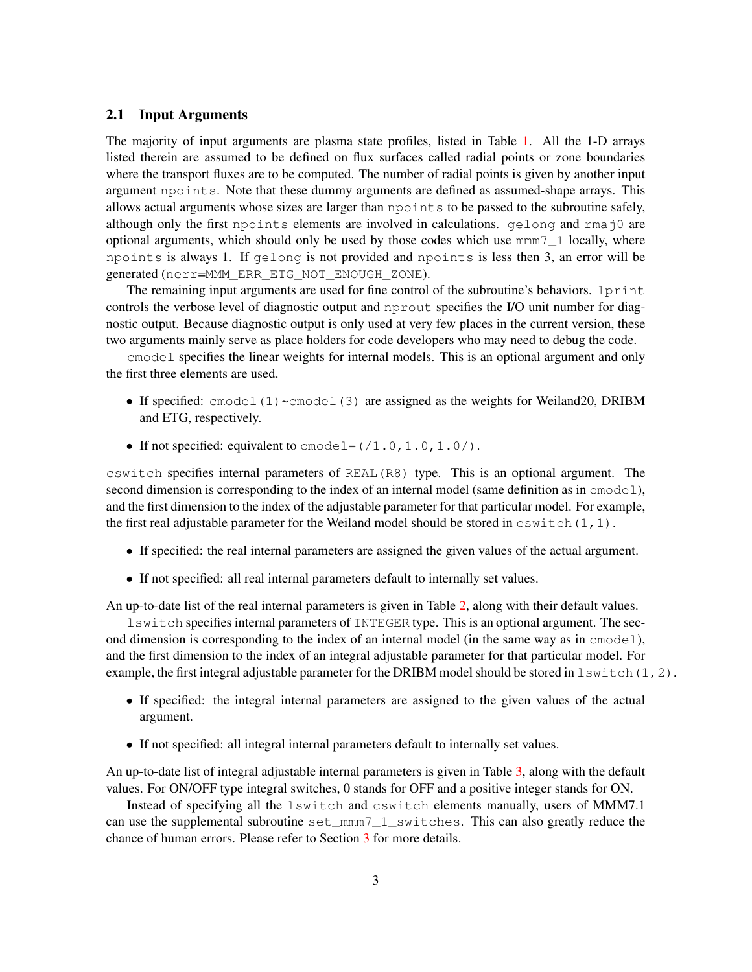#### <span id="page-2-0"></span>2.1 Input Arguments

The majority of input arguments are plasma state profiles, listed in Table [1.](#page-3-0) All the 1-D arrays listed therein are assumed to be defined on flux surfaces called radial points or zone boundaries where the transport fluxes are to be computed. The number of radial points is given by another input argument npoints. Note that these dummy arguments are defined as assumed-shape arrays. This allows actual arguments whose sizes are larger than npoints to be passed to the subroutine safely, although only the first npoints elements are involved in calculations. gelong and rmaj0 are optional arguments, which should only be used by those codes which use mmm7\_1 locally, where npoints is always 1. If gelong is not provided and npoints is less then 3, an error will be generated (nerr=MMM\_ERR\_ETG\_NOT\_ENOUGH\_ZONE).

The remaining input arguments are used for fine control of the subroutine's behaviors. 1print controls the verbose level of diagnostic output and nprout specifies the I/O unit number for diagnostic output. Because diagnostic output is only used at very few places in the current version, these two arguments mainly serve as place holders for code developers who may need to debug the code.

cmodel specifies the linear weights for internal models. This is an optional argument and only the first three elements are used.

- If specified: cmodel(1)~cmodel(3) are assigned as the weights for Weiland20, DRIBM and ETG, respectively.
- If not specified: equivalent to  $\text{cmodel} = (1.0, 1.0, 1.0/).$

cswitch specifies internal parameters of REAL(R8) type. This is an optional argument. The second dimension is corresponding to the index of an internal model (same definition as in cmodel), and the first dimension to the index of the adjustable parameter for that particular model. For example, the first real adjustable parameter for the Weiland model should be stored in  $cswitch(1,1)$ .

- If specified: the real internal parameters are assigned the given values of the actual argument.
- If not specified: all real internal parameters default to internally set values.

An up-to-date list of the real internal parameters is given in Table [2,](#page-4-0) along with their default values.

lswitch specifies internal parameters of INTEGER type. This is an optional argument. The second dimension is corresponding to the index of an internal model (in the same way as in cmodel), and the first dimension to the index of an integral adjustable parameter for that particular model. For example, the first integral adjustable parameter for the DRIBM model should be stored in  $lswitch(1,2)$ .

- If specified: the integral internal parameters are assigned to the given values of the actual argument.
- If not specified: all integral internal parameters default to internally set values.

An up-to-date list of integral adjustable internal parameters is given in Table [3,](#page-4-1) along with the default values. For ON/OFF type integral switches, 0 stands for OFF and a positive integer stands for ON.

Instead of specifying all the lswitch and cswitch elements manually, users of MMM7.1 can use the supplemental subroutine set\_mmm7\_1\_switches. This can also greatly reduce the chance of human errors. Please refer to Section [3](#page-7-1) for more details.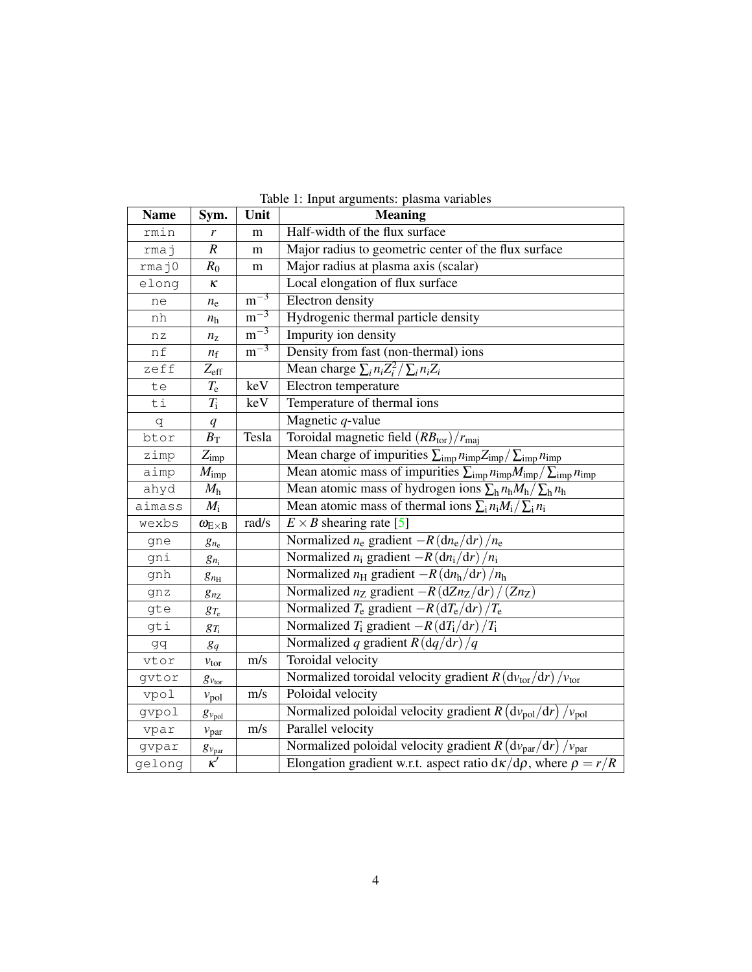| <b>Name</b> | Sym.                 | Unit                    | <b>Meaning</b>                                                                                                 |  |
|-------------|----------------------|-------------------------|----------------------------------------------------------------------------------------------------------------|--|
| rmin        | r                    | m                       | Half-width of the flux surface                                                                                 |  |
| rmaj        | $\overline{R}$       | m                       | Major radius to geometric center of the flux surface                                                           |  |
| rmaj0       | $R_0$                | ${\rm m}$               | Major radius at plasma axis (scalar)                                                                           |  |
| elong       | κ                    |                         | Local elongation of flux surface                                                                               |  |
| ne          | $n_{\rm e}$          | $m^{-3}$                | Electron density                                                                                               |  |
| nh          | $n_{\rm h}$          | $m^{-3}$                | Hydrogenic thermal particle density                                                                            |  |
| nz          | $n_{\rm z}$          | $m^{-3}$                | Impurity ion density                                                                                           |  |
| nf          | $n_{\rm f}$          | $m^{-3}$                | Density from fast (non-thermal) ions                                                                           |  |
| zeff        | $Z_{\rm eff}$        |                         | Mean charge $\sum_i n_i Z_i^2 / \sum_i n_i Z_i$                                                                |  |
| te          | $T_{\rm e}$          | $\overline{\text{keV}}$ | Electron temperature                                                                                           |  |
| ti          | $T_{\rm i}$          | keV                     | Temperature of thermal ions                                                                                    |  |
| q           | q                    |                         | Magnetic $q$ -value                                                                                            |  |
| btor        | $B_{\rm T}$          | Tesla                   | Toroidal magnetic field $(RB_{\text{tor}})/r_{\text{maj}}$                                                     |  |
| zimp        | $Z_{\text{imp}}$     |                         | Mean charge of impurities $\sum_{\text{imp}} n_{\text{imp}} Z_{\text{imp}} / \sum_{\text{imp}} n_{\text{imp}}$ |  |
| aimp        | $M_{\text{imp}}$     |                         | Mean atomic mass of impurities $\sum_{imp} n_{imp} M_{imp} / \sum_{imp} n_{imp}$                               |  |
| ahyd        | $M_{\rm h}$          |                         | Mean atomic mass of hydrogen ions $\sum_{h} n_h M_h / \sum_{h} n_h$                                            |  |
| aimass      | $M_i$                |                         | Mean atomic mass of thermal ions $\sum_i n_i M_i / \sum_i n_i$                                                 |  |
| wexbs       | $\omega_{E\times B}$ | rad/s                   | $E \times B$ shearing rate [5]                                                                                 |  |
| gne         | $g_{n_e}$            |                         | Normalized $n_e$ gradient $-R \left(\frac{dn_e}{dr}\right)/n_e$                                                |  |
| gni         | $g_{n_i}$            |                         | Normalized $n_i$ gradient $-R \left(\frac{dn_i}{dr}\right)/n_i$                                                |  |
| gnh         | $g_{n_{\rm H}}$      |                         | Normalized $n_{\rm H}$ gradient $-R \left(\frac{dn_{\rm h}}{dr}\right)/n_{\rm h}$                              |  |
| gnz         | $g_{n_Z}$            |                         | Normalized $n_Z$ gradient $-R \left(\frac{dZn_Z}{dr}\right) / \left(Zn_Z\right)$                               |  |
| gte         | $g_{T_e}$            |                         | Normalized $T_e$ gradient $-R \left(\frac{d T_e}{dr}\right)/T_e$                                               |  |
| gti         | $g_{T_i}$            |                         | Normalized $T_i$ gradient $-R\left(\frac{dT_i}{dr}\right)/T_i$                                                 |  |
| gq          | $g_q$                |                         | Normalized q gradient $R \left(\frac{dq}{dr}\right)/q$                                                         |  |
| vtor        | $v_{\text{tor}}$     | m/s                     | Toroidal velocity                                                                                              |  |
| gvtor       | $g_{v_{\text{tor}}}$ |                         | Normalized toroidal velocity gradient $R(dv_{\text{tor}}/dr)/v_{\text{tor}}$                                   |  |
| vpol        | $v_{\text{pol}}$     | m/s                     | Poloidal velocity                                                                                              |  |
| gvpol       | $g_{v_{\text{pol}}}$ |                         | Normalized poloidal velocity gradient $R(dv_{pol}/dr)/v_{pol}$                                                 |  |
| vpar        | $v_{\text{par}}$     | m/s                     | Parallel velocity                                                                                              |  |
| gvpar       | $g_{v_{\rm par}}$    |                         | Normalized poloidal velocity gradient $R(dv_{par}/dr)/v_{par}$                                                 |  |
| gelong      | $\kappa'$            |                         | Elongation gradient w.r.t. aspect ratio $d\kappa/d\rho$ , where $\rho = r/R$                                   |  |

<span id="page-3-0"></span>Table 1: Input arguments: plasma variables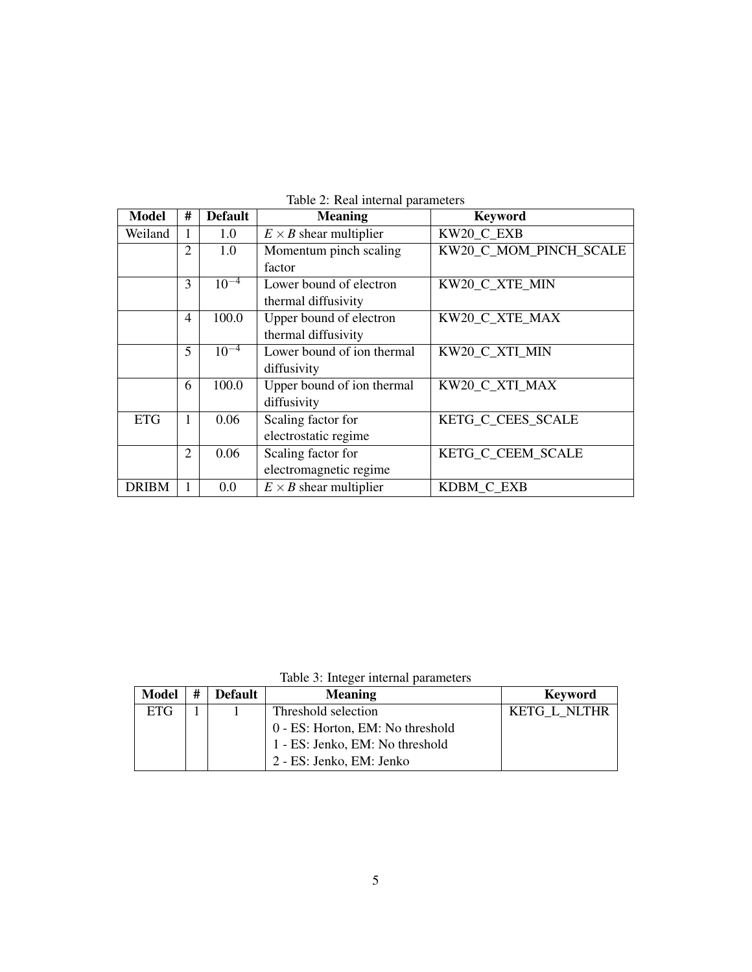| <b>Model</b> | #              | <b>Default</b> | <b>Meaning</b>                | <b>Keyword</b>         |
|--------------|----------------|----------------|-------------------------------|------------------------|
| Weiland      | 1              | 1.0            | $E \times B$ shear multiplier | KW20_C_EXB             |
|              | 2              | 1.0            | Momentum pinch scaling        | KW20_C_MOM_PINCH_SCALE |
|              |                |                | factor                        |                        |
|              | 3              | $10^{-4}$      | Lower bound of electron       | KW20 C XTE MIN         |
|              |                |                | thermal diffusivity           |                        |
|              | 4              | 100.0          | Upper bound of electron       | KW20 C XTE MAX         |
|              |                |                | thermal diffusivity           |                        |
|              | 5              | $10^{-4}$      | Lower bound of ion thermal    | KW20 C XTI MIN         |
|              |                |                | diffusivity                   |                        |
|              | 6              | 100.0          | Upper bound of ion thermal    | KW20 C XTI MAX         |
|              |                |                | diffusivity                   |                        |
| <b>ETG</b>   | 1              | 0.06           | Scaling factor for            | KETG C CEES SCALE      |
|              |                |                | electrostatic regime          |                        |
|              | $\overline{2}$ | 0.06           | Scaling factor for            | KETG_C_CEEM_SCALE      |
|              |                |                | electromagnetic regime        |                        |
| <b>DRIBM</b> | 1              | 0.0            | $E \times B$ shear multiplier | KDBM_C_EXB             |

<span id="page-4-0"></span>Table 2: Real internal parameters

<span id="page-4-1"></span>Table 3: Integer internal parameters

| <b>Model</b> | # | <b>Default</b> | <b>Meaning</b>                   | <b>Keyword</b> |
|--------------|---|----------------|----------------------------------|----------------|
| <b>ETG</b>   |   |                | Threshold selection              | KETG L NLTHR   |
|              |   |                | 0 - ES: Horton, EM: No threshold |                |
|              |   |                | 1 - ES: Jenko, EM: No threshold  |                |
|              |   |                | 2 - ES: Jenko, EM: Jenko         |                |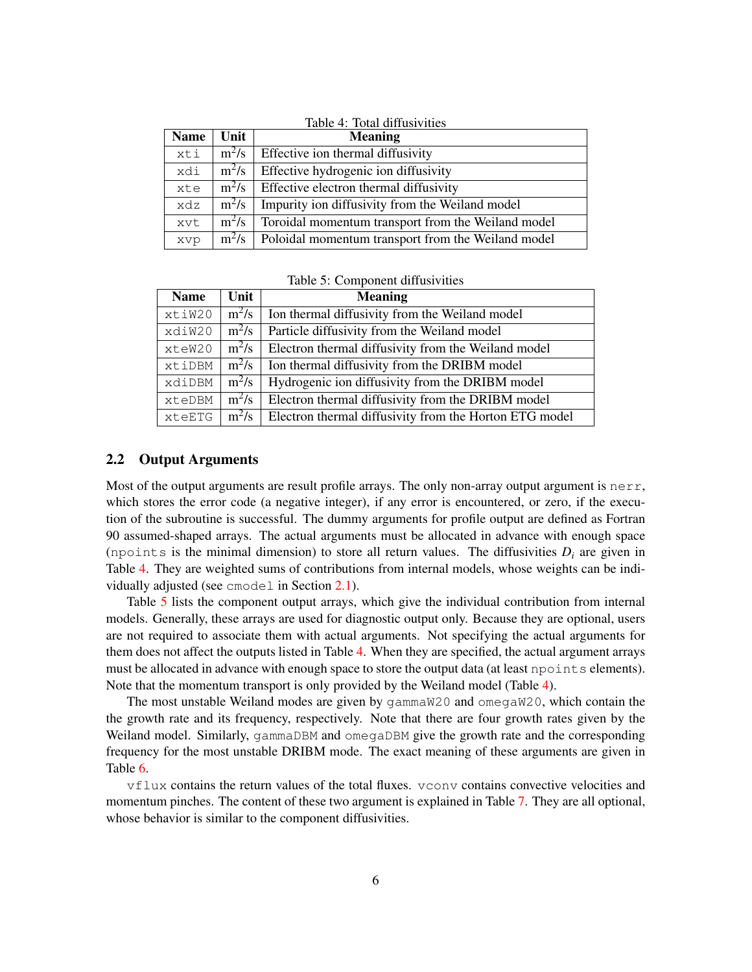| <b>Name</b> | Unit    | Table 4: Total diffusivities<br><b>Meaning</b>     |
|-------------|---------|----------------------------------------------------|
| xti         | $m^2/s$ | Effective ion thermal diffusivity                  |
| xdi         | $m^2/s$ | Effective hydrogenic ion diffusivity               |
| xte         | $m^2/s$ | Effective electron thermal diffusivity             |
| xdz         | $m^2/s$ | Impurity ion diffusivity from the Weiland model    |
| xvt         | $m^2/s$ | Toroidal momentum transport from the Weiland model |
| xvp         | $m^2/s$ | Poloidal momentum transport from the Weiland model |

<span id="page-5-1"></span><span id="page-5-0"></span>Table 5: Component diffusivities

| <b>Name</b> | Unit    | <b>Meaning</b>                                         |
|-------------|---------|--------------------------------------------------------|
| xtiW20      | $m^2/s$ | Ion thermal diffusivity from the Weiland model         |
| xdiW20      | $m^2/s$ | Particle diffusivity from the Weiland model            |
| xteW20      | $m^2/s$ | Electron thermal diffusivity from the Weiland model    |
| xtiDBM      | $m^2/s$ | Ion thermal diffusivity from the DRIBM model           |
| xdiDBM      | $m^2/s$ | Hydrogenic ion diffusivity from the DRIBM model        |
| xteDBM      | $m^2/s$ | Electron thermal diffusivity from the DRIBM model      |
| xteETG      | $m^2/s$ | Electron thermal diffusivity from the Horton ETG model |

#### 2.2 Output Arguments

Most of the output arguments are result profile arrays. The only non-array output argument is nerr, which stores the error code (a negative integer), if any error is encountered, or zero, if the execution of the subroutine is successful. The dummy arguments for profile output are defined as Fortran 90 assumed-shaped arrays. The actual arguments must be allocated in advance with enough space (npoints is the minimal dimension) to store all return values. The diffusivities  $D_i$  are given in Table [4.](#page-5-0) They are weighted sums of contributions from internal models, whose weights can be individually adjusted (see cmodel in Section [2.1\)](#page-2-0).

Table [5](#page-5-1) lists the component output arrays, which give the individual contribution from internal models. Generally, these arrays are used for diagnostic output only. Because they are optional, users are not required to associate them with actual arguments. Not specifying the actual arguments for them does not affect the outputs listed in Table [4.](#page-5-0) When they are specified, the actual argument arrays must be allocated in advance with enough space to store the output data (at least npoints elements). Note that the momentum transport is only provided by the Weiland model (Table [4\)](#page-5-0).

The most unstable Weiland modes are given by gammaW20 and omegaW20, which contain the the growth rate and its frequency, respectively. Note that there are four growth rates given by the Weiland model. Similarly, gammaDBM and omegaDBM give the growth rate and the corresponding frequency for the most unstable DRIBM mode. The exact meaning of these arguments are given in Table [6.](#page-6-0)

vflux contains the return values of the total fluxes. vconv contains convective velocities and momentum pinches. The content of these two argument is explained in Table [7.](#page-6-1) They are all optional, whose behavior is similar to the component diffusivities.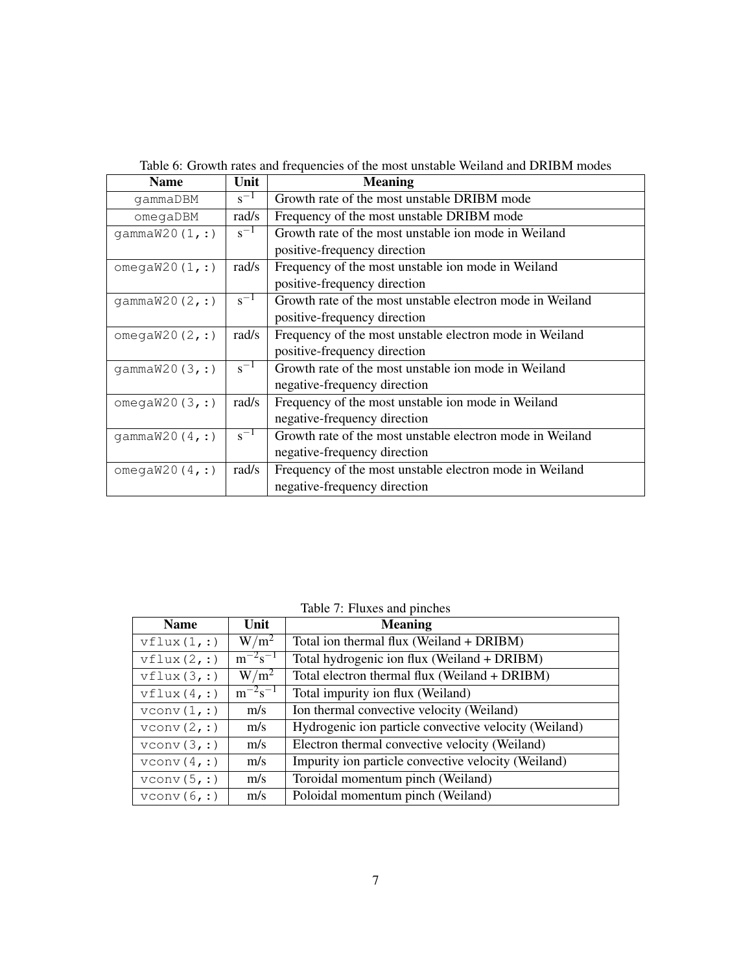| <b>Name</b>       | Unit     | <b>Meaning</b>                                            |  |
|-------------------|----------|-----------------------------------------------------------|--|
| gammaDBM          | $s^{-1}$ | Growth rate of the most unstable DRIBM mode               |  |
| omegaDBM          | rad/s    | Frequency of the most unstable DRIBM mode                 |  |
| qammaw20(1, :)    | $s^{-1}$ | Growth rate of the most unstable ion mode in Weiland      |  |
|                   |          | positive-frequency direction                              |  |
| omega $W20(1, :)$ | rad/s    | Frequency of the most unstable ion mode in Weiland        |  |
|                   |          | positive-frequency direction                              |  |
| qammaw20(2, :)    | $s^{-1}$ | Growth rate of the most unstable electron mode in Weiland |  |
|                   |          | positive-frequency direction                              |  |
| omega $W20(2, :)$ | rad/s    | Frequency of the most unstable electron mode in Weiland   |  |
|                   |          | positive-frequency direction                              |  |
| qammaw20(3,:)     | $s^{-1}$ | Growth rate of the most unstable ion mode in Weiland      |  |
|                   |          | negative-frequency direction                              |  |
| omega $W20(3, :)$ | rad/s    | Frequency of the most unstable ion mode in Weiland        |  |
|                   |          | negative-frequency direction                              |  |
| qammaw20(4, :)    | $s^{-1}$ | Growth rate of the most unstable electron mode in Weiland |  |
|                   |          | negative-frequency direction                              |  |
| omega $W20(4, :)$ | rad/s    | Frequency of the most unstable electron mode in Weiland   |  |
|                   |          | negative-frequency direction                              |  |

<span id="page-6-0"></span>

|  | Table 6: Growth rates and frequencies of the most unstable Weiland and DRIBM modes |  |
|--|------------------------------------------------------------------------------------|--|
|--|------------------------------------------------------------------------------------|--|

| <b>Name</b> | Unit           | <b>Meaning</b>                                        |
|-------------|----------------|-------------------------------------------------------|
| vflux(1,:)  | $W/m^2$        | Total ion thermal flux (Weiland + DRIBM)              |
| vflux(2,:)  | $m^{-2}s^{-1}$ | Total hydrogenic ion flux (Weiland + DRIBM)           |
| vflux(3,:)  | $W/m^2$        | Total electron thermal flux (Weiland + DRIBM)         |
| vflux(4,:)  | $m^{-2}s^{-1}$ | Total impurity ion flux (Weiland)                     |
| vconv(1,:)  | m/s            | Ion thermal convective velocity (Weiland)             |
| vconv(2,:)  | m/s            | Hydrogenic ion particle convective velocity (Weiland) |
| vconv(3,:)  | m/s            | Electron thermal convective velocity (Weiland)        |
| vconv(4,:)  | m/s            | Impurity ion particle convective velocity (Weiland)   |
| vconv(5,:)  | m/s            | Toroidal momentum pinch (Weiland)                     |
| vconv(6,:)  | m/s            | Poloidal momentum pinch (Weiland)                     |

<span id="page-6-1"></span>Table 7: Fluxes and pinches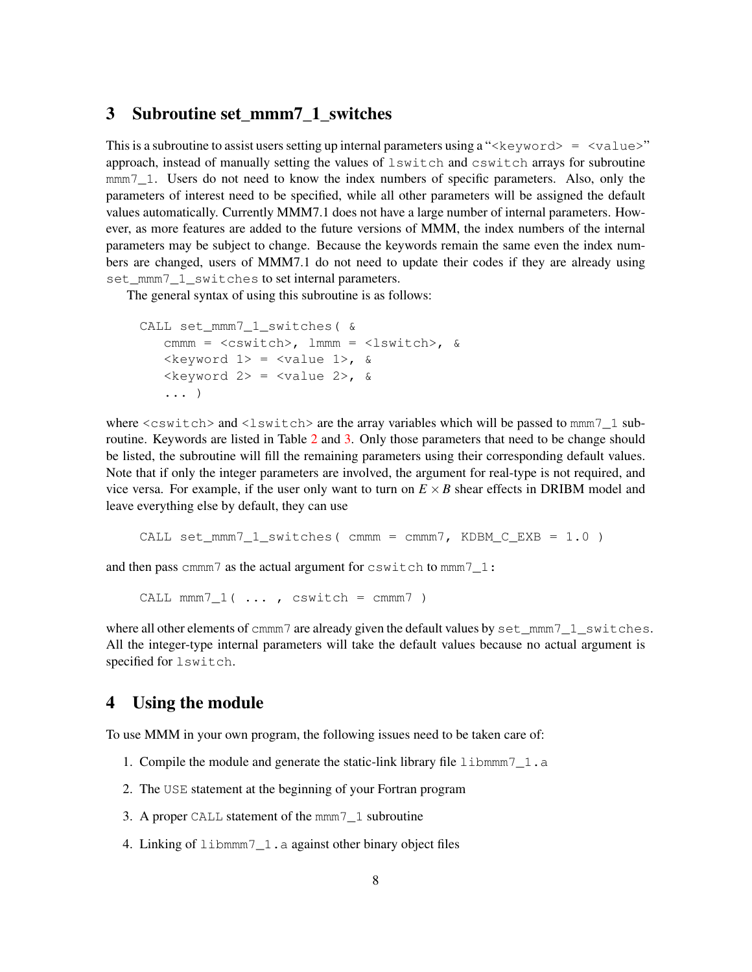#### <span id="page-7-1"></span>3 Subroutine set\_mmm7\_1\_switches

This is a subroutine to assist users setting up internal parameters using a " $\langle$ keyword $\rangle$  =  $\langle$ value $\rangle$ " approach, instead of manually setting the values of lswitch and cswitch arrays for subroutine mmm<sub>7</sub> 1. Users do not need to know the index numbers of specific parameters. Also, only the parameters of interest need to be specified, while all other parameters will be assigned the default values automatically. Currently MMM7.1 does not have a large number of internal parameters. However, as more features are added to the future versions of MMM, the index numbers of the internal parameters may be subject to change. Because the keywords remain the same even the index numbers are changed, users of MMM7.1 do not need to update their codes if they are already using set mmm7\_1\_switches to set internal parameters.

The general syntax of using this subroutine is as follows:

```
CALL set_mmm7_1_switches( &
   cmmm = <cswitch>, lmmm = <lswitch>, &
   \langlekeyword 1> = \langlevalue 1>, &
   \langlekeyword 2> = \langlevalue 2>, &
   ... )
```
where <cswitch> and <lswitch> are the array variables which will be passed to mmm7\_1 subroutine. Keywords are listed in Table [2](#page-4-0) and [3.](#page-4-1) Only those parameters that need to be change should be listed, the subroutine will fill the remaining parameters using their corresponding default values. Note that if only the integer parameters are involved, the argument for real-type is not required, and vice versa. For example, if the user only want to turn on  $E \times B$  shear effects in DRIBM model and leave everything else by default, they can use

```
CALL set_mmm7_1_switches( cmmm = cmmm7, KDBM_C_EXB = 1.0 )
```
and then pass cmmm7 as the actual argument for cswitch to mmm7\_1:

CALL mmm7  $1( ... , cswitch = cmmm7 )$ 

where all other elements of cmmm7 are already given the default values by  $set\_mmm7_1\_switches$ . All the integer-type internal parameters will take the default values because no actual argument is specified for lswitch.

#### <span id="page-7-0"></span>4 Using the module

To use MMM in your own program, the following issues need to be taken care of:

- 1. Compile the module and generate the static-link library file libmmm7\_1.a
- 2. The USE statement at the beginning of your Fortran program
- 3. A proper CALL statement of the mmm7\_1 subroutine
- 4. Linking of libmmm7\_1.a against other binary object files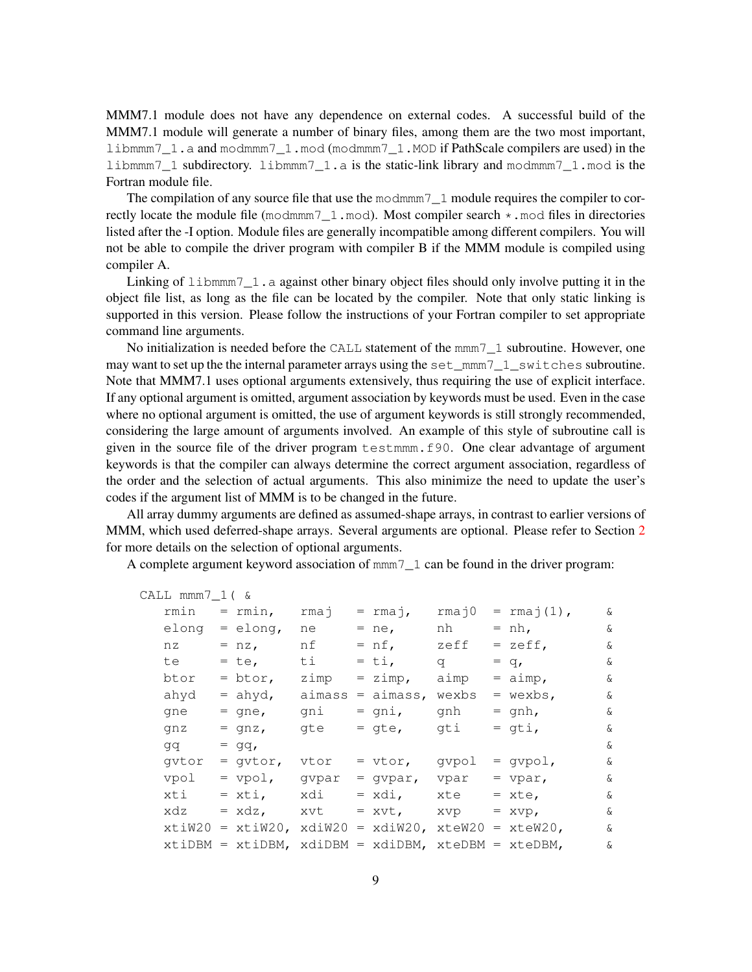MMM7.1 module does not have any dependence on external codes. A successful build of the MMM7.1 module will generate a number of binary files, among them are the two most important, libmmm7\_1.a and modmmm7\_1.mod (modmmm7\_1.MOD if PathScale compilers are used) in the libmmm7\_1 subdirectory. libmmm7\_1.a is the static-link library and modmmm7\_1.mod is the Fortran module file.

The compilation of any source file that use the modmmm  $7\quad 1$  module requires the compiler to correctly locate the module file (modmmm $7\,1$ .mod). Most compiler search  $\star$ .mod files in directories listed after the -I option. Module files are generally incompatible among different compilers. You will not be able to compile the driver program with compiler B if the MMM module is compiled using compiler A.

Linking of  $l$  ibmmm $7_l$ . a against other binary object files should only involve putting it in the object file list, as long as the file can be located by the compiler. Note that only static linking is supported in this version. Please follow the instructions of your Fortran compiler to set appropriate command line arguments.

No initialization is needed before the CALL statement of the mmm7\_1 subroutine. However, one may want to set up the the internal parameter arrays using the set\_mmm7\_1\_switches subroutine. Note that MMM7.1 uses optional arguments extensively, thus requiring the use of explicit interface. If any optional argument is omitted, argument association by keywords must be used. Even in the case where no optional argument is omitted, the use of argument keywords is still strongly recommended, considering the large amount of arguments involved. An example of this style of subroutine call is given in the source file of the driver program testmmm.f90. One clear advantage of argument keywords is that the compiler can always determine the correct argument association, regardless of the order and the selection of actual arguments. This also minimize the need to update the user's codes if the argument list of MMM is to be changed in the future.

All array dummy arguments are defined as assumed-shape arrays, in contrast to earlier versions of MMM, which used deferred-shape arrays. Several arguments are optional. Please refer to Section [2](#page-1-0) for more details on the selection of optional arguments.

A complete argument keyword association of mmm7\_1 can be found in the driver program:

| CALL $mm7_1$ ( & |                                                             |        |             |          |                      |          |
|------------------|-------------------------------------------------------------|--------|-------------|----------|----------------------|----------|
| rmin             | $=$ rmin,                                                   | rmaj   | = rmaj,     | rmaj0    | $= \text{rmaj}(1)$ , | ଙ        |
| elong            | $=$ elong,                                                  | ne     | $=$ ne,     | nh       | $= nh,$              | ଙ        |
| nz               | $= nz,$                                                     | nf     | $= nf,$     | zeff     | $=$ zeff,            | ଙ        |
| te               | $=$ te,                                                     | ti     | $=$ ti,     | $\sigma$ | $= q_{\ell}$         | ଙ        |
| btor             | $=$ btor,                                                   | zimp   | $= zimp,$   | aimp     | $=$ aimp,            | ଙ        |
| ahyd             | $=$ ahyd,                                                   | aimass | $=$ aimass, | wexbs    | $=$ wexbs,           | ଙ        |
| qne              | $=$ qne,                                                    | gni    | $=$ qni,    | qnh      | $=$ gnh,             | $\delta$ |
| qnz              | $=$ qnz,                                                    | gte    | $=$ qte,    | gti      | $=$ gti,             | ଙ        |
| qq               | $= qq,$                                                     |        |             |          |                      | ଙ        |
| qvtor            | $=$ qvtor,                                                  | vtor   | $=$ vtor,   | qvpol    | $=$ qvpol,           | ଙ        |
| vpol             | $=$ vpol,                                                   | qvpar  | $=$ qvpar,  | vpar     | $=$ vpar,            | ଙ        |
| xti              | $= x t i,$                                                  | xdi    | $= xdi,$    | xte      | $=$ xte,             | ଙ        |
| xdz              | $= xdz$ ,                                                   | xvt    | $= xvt$ ,   | XVP      | $=$ $XVP$ ,          | $\delta$ |
|                  | $xtiW20 = xtiW20$ , $xdiW20 = xdiW20$ , $xteW20 = xteW20$ , |        |             |          |                      | ଙ        |
|                  | $xtiDBM = xtiDBM$ , $xdiDBM = xdiDBM$ , $xteDBM = xteDBM$ , |        |             |          |                      | $\delta$ |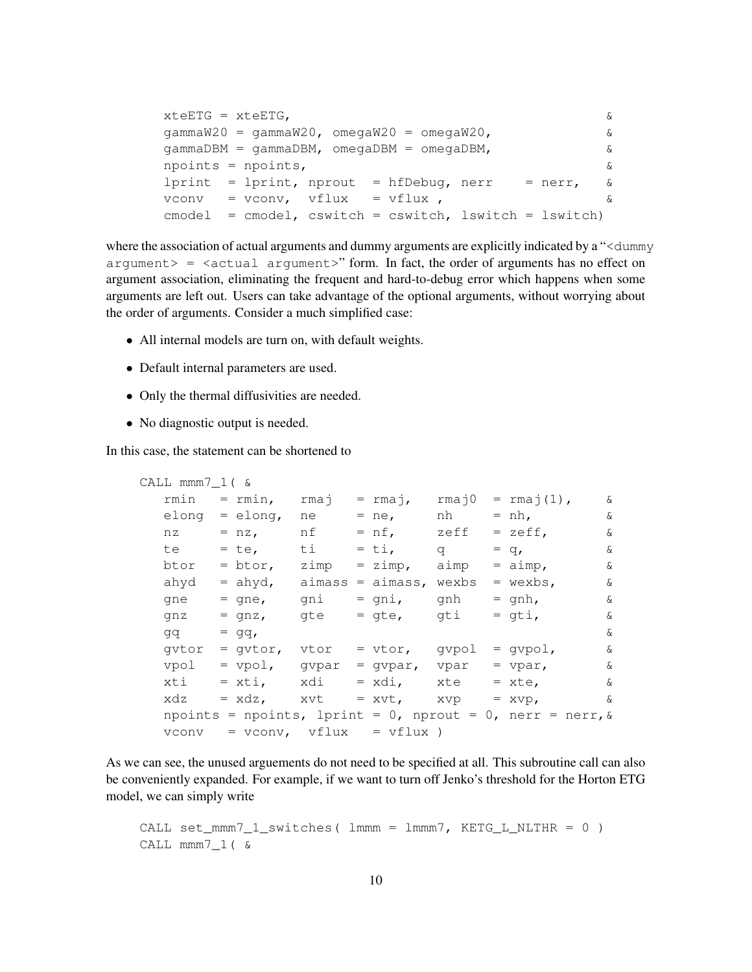```
xteETG = xteETG, &
gammaW20 = gammaW20, omegaW20 = omaW20, \&gamma = gammaDBM, omegaDBM = omegaDBM, \&npoints = npoints, &
lprint = lprint, nprout = hfDebug, nerr = nerr, \&vconv = vconv, vflux = vflux , &
cmodel = cmodel, cswitch = cswitch, lswitch = lswitch)
```
where the association of actual arguments and dummy arguments are explicitly indicated by a "<dummy  $a$ rgument $>$  =  $\leq$   $a$ ctual  $a$ rgument $>$ " form. In fact, the order of arguments has no effect on argument association, eliminating the frequent and hard-to-debug error which happens when some arguments are left out. Users can take advantage of the optional arguments, without worrying about the order of arguments. Consider a much simplified case:

- All internal models are turn on, with default weights.
- Default internal parameters are used.
- Only the thermal diffusivities are needed.
- No diagnostic output is needed.

In this case, the statement can be shortened to

```
CALL mmm7_1( &
  rmin = rmin, rmaj = rmaj, rmaj0 = rmaj(1), &
  elong = elong, ne = ne, nh = nh, &
  nz = nz, nf = nf, zeff = zeff, &
  te = te, ti = ti, q = q, \&btor = btor, zimp = zimp, aimp = aimp, \&ahyd = ahyd, aimass = aimass, wexbs = wexbs, \&gne = gne, gni = gni, gnh = gnh, &
  gnz = gnz, gte = gte, gti = gti, \&gq = gq, \&\text{qvtor} = \text{qvtor}, \text{vtor} = \text{vtor}, \text{qvpol} = \text{qvpol}, \&vpol = vpol, qvpar = qvpar, vpar = vpar, \&xti = xti, xdi = xdi, xte = xte, \&xdz = xdz, xvt = xvt, xvp = xvp, \&npoints = npoints, lprint = 0, nprout = 0, nerr = nerr, &
  vconv = vconv, vflux = vflux)
```
As we can see, the unused arguements do not need to be specified at all. This subroutine call can also be conveniently expanded. For example, if we want to turn off Jenko's threshold for the Horton ETG model, we can simply write

```
CALL set_mmm7_1_switches( lmmm = lmmm7, KETG_L_NLTHR = 0 )
CALL mmm7_1( &
```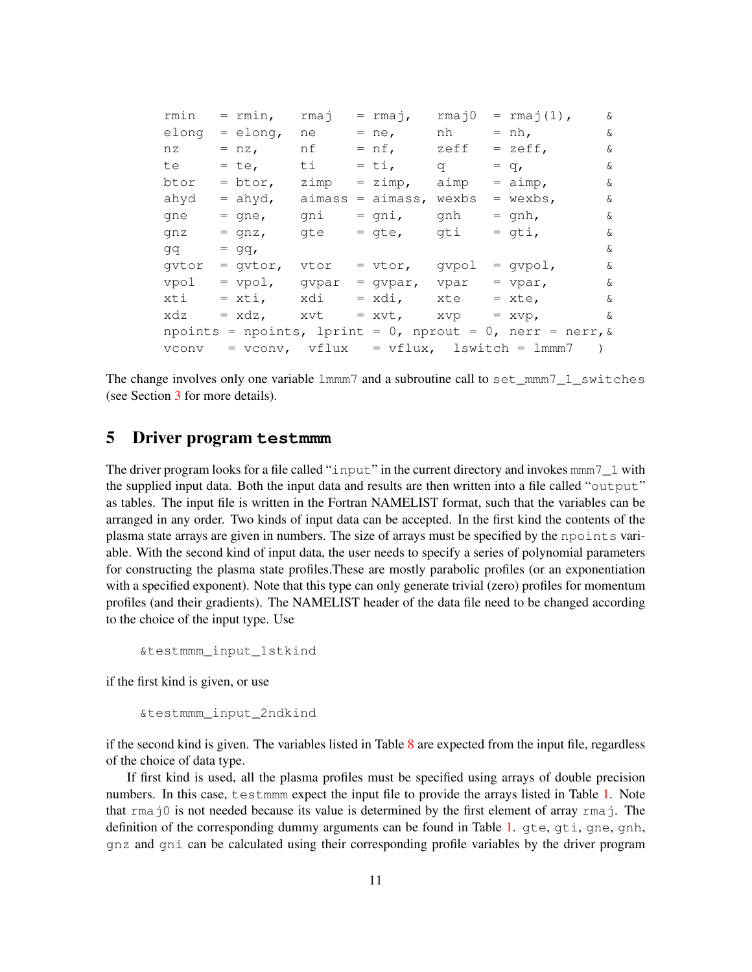| rmin  |                                                              | $=$ rmin,                 | rmaj |  | $=$ rmaj,       | $rma$ j $0$ |  | $= \text{rmaj}(1)$ ,                           | ଙ        |
|-------|--------------------------------------------------------------|---------------------------|------|--|-----------------|-------------|--|------------------------------------------------|----------|
| elong |                                                              | $=$ elong,                | ne   |  | $= ne,$         | nh          |  | $= nh,$                                        | $\delta$ |
| nz    |                                                              | $= nz,$                   | nf   |  | $= nf,$         | zeff        |  | $=$ zeff,                                      | &        |
| te    |                                                              | $=$ te,                   | ti   |  | $=$ ti,         | $\sigma$    |  | $= q_{\ell}$                                   | $\delta$ |
| btor  |                                                              | $=$ btor,                 | zimp |  | $= zimp,$       | aimp        |  | $=$ aimp,                                      | $\delta$ |
| ahyd  |                                                              | $=$ ahyd, $\alpha$ aimass |      |  | $=$ aimass,     | wexbs       |  | $=$ wexbs,                                     | $\delta$ |
| qne   |                                                              | $=$ qne,                  | qni  |  | $=$ qni,        | gnh         |  | $=$ qnh,                                       | $\delta$ |
| qnz   |                                                              | $=$ qnz,                  | gte  |  | = gte, gti      |             |  | $=$ qti,                                       | $\delta$ |
| dd    |                                                              | $= qq,$                   |      |  |                 |             |  |                                                | $\delta$ |
| gvtor |                                                              | = gvtor, vtor             |      |  | $=$ vtor, gypol |             |  | $=$ qvpol,                                     | ଙ        |
| vpol  |                                                              | $=$ vpol, gvpar           |      |  | = gvpar, vpar   |             |  | $=$ vpar,                                      | $\delta$ |
| xti   |                                                              | = xti, xdi                |      |  | = xdi, xte      |             |  | $=$ xte,                                       | ଙ        |
| xdz   |                                                              | $= xdz, xvt$              |      |  | $= xvt, xvp$    |             |  | $= xvp,$                                       | $\delta$ |
|       | npoints = npoints, lprint = 0, nprout = 0, nerr = nerr, $\&$ |                           |      |  |                 |             |  |                                                |          |
| vconv |                                                              |                           |      |  |                 |             |  | $=$ vconv, $vflux = vflux$ , lswitch = lmmm7 ) |          |

The change involves only one variable  $lmmm7$  and a subroutine call to set\_mmm $7_l$ \_1\_switches (see Section [3](#page-7-1) for more details).

#### 5 Driver program **testmmm**

The driver program looks for a file called "input" in the current directory and invokes mmm 7\_1 with the supplied input data. Both the input data and results are then written into a file called "output" as tables. The input file is written in the Fortran NAMELIST format, such that the variables can be arranged in any order. Two kinds of input data can be accepted. In the first kind the contents of the plasma state arrays are given in numbers. The size of arrays must be specified by the npoints variable. With the second kind of input data, the user needs to specify a series of polynomial parameters for constructing the plasma state profiles.These are mostly parabolic profiles (or an exponentiation with a specified exponent). Note that this type can only generate trivial (zero) profiles for momentum profiles (and their gradients). The NAMELIST header of the data file need to be changed according to the choice of the input type. Use

```
&testmmm_input_1stkind
```
if the first kind is given, or use

```
&testmmm_input_2ndkind
```
if the second kind is given. The variables listed in Table [8](#page-11-0) are expected from the input file, regardless of the choice of data type.

If first kind is used, all the plasma profiles must be specified using arrays of double precision numbers. In this case, testmmm expect the input file to provide the arrays listed in Table [1.](#page-3-0) Note that  $r_{\text{max}}$  is not needed because its value is determined by the first element of array  $r_{\text{max}}$  j. The definition of the corresponding dummy arguments can be found in Table [1.](#page-3-0) gte, gti, gne, gnh, gnz and gni can be calculated using their corresponding profile variables by the driver program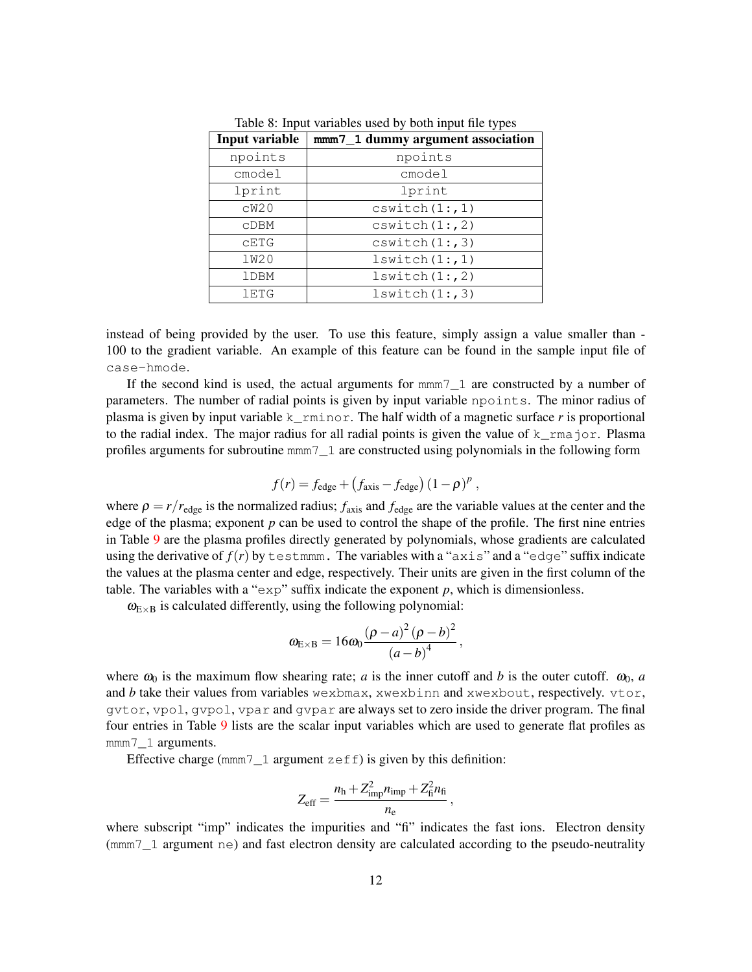| Input variable | mmm7_1 dummy argument association |
|----------------|-----------------------------------|
| npoints        | npoints                           |
| $c$ model      | cmodel                            |
| lprint         | lprint                            |
| CW20           | cswitch(1:, 1)                    |
| CDBM           | cswitch(1:, 2)                    |
| CETG           | cswitch(1:, 3)                    |
| <b>1W20</b>    | lswitch(1:, 1)                    |
| <b>lDBM</b>    | lswitch(1:, 2)                    |
| <b>1ETG</b>    | lswitch(1:, 3)                    |

<span id="page-11-0"></span>Table 8: Input variables used by both input file types

instead of being provided by the user. To use this feature, simply assign a value smaller than - 100 to the gradient variable. An example of this feature can be found in the sample input file of case-hmode.

If the second kind is used, the actual arguments for mmm7\_1 are constructed by a number of parameters. The number of radial points is given by input variable npoints. The minor radius of plasma is given by input variable  $k$  rminor. The half width of a magnetic surface *r* is proportional to the radial index. The major radius for all radial points is given the value of  $k_{\text{max}}$  or. Plasma profiles arguments for subroutine mmm7\_1 are constructed using polynomials in the following form

$$
f(r) = f_{\text{edge}} + (f_{\text{axis}} - f_{\text{edge}}) (1 - \rho)^p,
$$

where  $\rho = r/r_{\text{edge}}$  is the normalized radius;  $f_{\text{axis}}$  and  $f_{\text{edge}}$  are the variable values at the center and the edge of the plasma; exponent  $p$  can be used to control the shape of the profile. The first nine entries in Table [9](#page-12-0) are the plasma profiles directly generated by polynomials, whose gradients are calculated using the derivative of  $f(r)$  by testmmm. The variables with a " $a \times i s$ " and a "edge" suffix indicate the values at the plasma center and edge, respectively. Their units are given in the first column of the table. The variables with a " $\exp$ " suffix indicate the exponent  $p$ , which is dimensionless.

 $\omega_{E\times B}$  is calculated differently, using the following polynomial:

$$
\omega_{\text{E} \times \text{B}} = 16\omega_0 \frac{\left(\rho - a\right)^2 \left(\rho - b\right)^2}{\left(a - b\right)^4}
$$

,

where  $\omega_0$  is the maximum flow shearing rate; *a* is the inner cutoff and *b* is the outer cutoff.  $\omega_0$ , *a* and *b* take their values from variables wexbmax, xwexbinn and xwexbout, respectively. vtor, gvtor, vpol, gvpol, vpar and gvpar are always set to zero inside the driver program. The final four entries in Table [9](#page-12-0) lists are the scalar input variables which are used to generate flat profiles as mmm7\_1 arguments.

Effective charge ( $mm7$ <sup>1</sup> argument  $z \in f$ ) is given by this definition:

$$
Z_{\text{eff}} = \frac{n_{\text{h}} + Z_{\text{imp}}^2 n_{\text{imp}} + Z_{\text{h}}^2 n_{\text{f}}}{n_{\text{e}}},
$$

where subscript "imp" indicates the impurities and "fi" indicates the fast ions. Electron density (mmm7\_1 argument ne) and fast electron density are calculated according to the pseudo-neutrality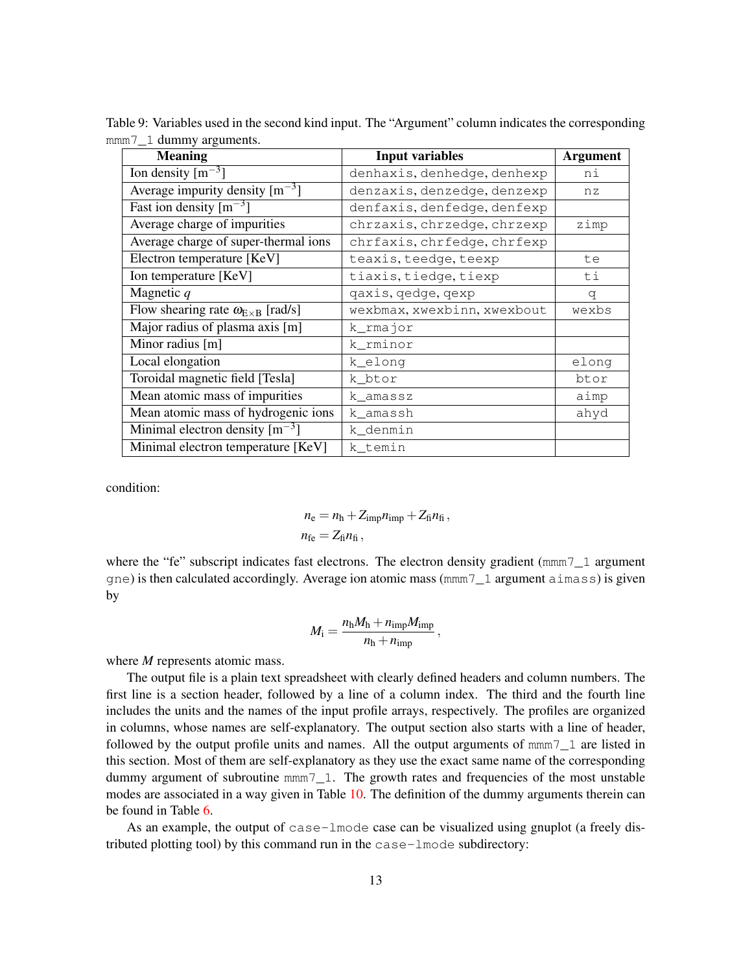| <b>Meaning</b>                                   | <b>Input variables</b>      | <b>Argument</b> |
|--------------------------------------------------|-----------------------------|-----------------|
| Ion density $\lceil m^{-3} \rceil$               | denhaxis, denhedge, denhexp | ni              |
| Average impurity density $\lceil m^{-3} \rceil$  | denzaxis, denzedge, denzexp | nz              |
| Fast ion density $\lceil m^{-3} \rceil$          | denfaxis, denfedge, denfexp |                 |
| Average charge of impurities                     | chrzaxis, chrzedge, chrzexp | zimp            |
| Average charge of super-thermal ions             | chrfaxis, chrfedge, chrfexp |                 |
| Electron temperature [KeV]                       | teaxis, teedge, teexp       | te              |
| Ion temperature [KeV]                            | tiaxis, tiedge, tiexp       | ti              |
| Magnetic $q$                                     | qaxis, qedge, qexp          | q               |
| Flow shearing rate $\omega_{E \times B}$ [rad/s] | wexbmax, xwexbinn, xwexbout | wexbs           |
| Major radius of plasma axis [m]                  | k_rmajor                    |                 |
| Minor radius [m]                                 | k_rminor                    |                 |
| Local elongation                                 | k_elong                     | elong           |
| Toroidal magnetic field [Tesla]                  | k_btor                      | btor            |
| Mean atomic mass of impurities                   | k_amassz                    | aimp            |
| Mean atomic mass of hydrogenic ions              | k_amassh                    | ahyd            |
| Minimal electron density $\lceil m^{-3} \rceil$  | k denmin                    |                 |
| Minimal electron temperature [KeV]               | k temin                     |                 |

<span id="page-12-0"></span>Table 9: Variables used in the second kind input. The "Argument" column indicates the corresponding mmm<sub>7</sub><sup>1</sup> dummy arguments.

condition:

$$
n_{\rm e} = n_{\rm h} + Z_{\rm imp} n_{\rm imp} + Z_{\rm fi} n_{\rm fi} ,
$$
  

$$
n_{\rm fe} = Z_{\rm fi} n_{\rm fi} ,
$$

where the "fe" subscript indicates fast electrons. The electron density gradient ( $mmm$ 7 1 argument gne) is then calculated accordingly. Average ion atomic mass (mmm7\_1 argument aimass) is given by

$$
M_{\rm i} = \frac{n_{\rm h}M_{\rm h} + n_{\rm imp}M_{\rm imp}}{n_{\rm h} + n_{\rm imp}}\,,
$$

where *M* represents atomic mass.

The output file is a plain text spreadsheet with clearly defined headers and column numbers. The first line is a section header, followed by a line of a column index. The third and the fourth line includes the units and the names of the input profile arrays, respectively. The profiles are organized in columns, whose names are self-explanatory. The output section also starts with a line of header, followed by the output profile units and names. All the output arguments of  $mmm \tau$  1 are listed in this section. Most of them are self-explanatory as they use the exact same name of the corresponding dummy argument of subroutine mmm<sub>7</sub> 1. The growth rates and frequencies of the most unstable modes are associated in a way given in Table [10.](#page-13-4) The definition of the dummy arguments therein can be found in Table [6.](#page-6-0)

As an example, the output of case-lmode case can be visualized using gnuplot (a freely distributed plotting tool) by this command run in the case-lmode subdirectory: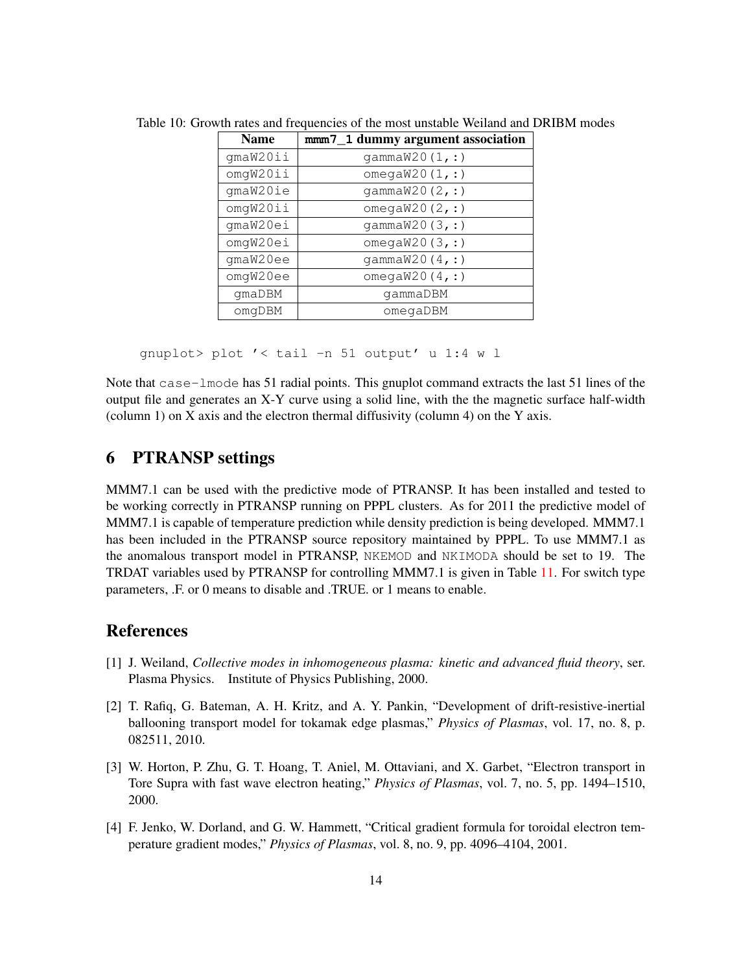<span id="page-13-4"></span>

| <b>Name</b> | mmm7_1 dummy argument association |  |  |
|-------------|-----------------------------------|--|--|
| gmaW20ii    | qammaw20(1, :)                    |  |  |
| omgW20ii    | omega $W20(1, :)$                 |  |  |
| gmaW20ie    | qammaw20(2, :)                    |  |  |
| omgW20ii    | omega $W20(2, :)$                 |  |  |
| qmaW20ei    | qammaw20(3, :)                    |  |  |
| omgW20ei    | omega $W20(3, :)$                 |  |  |
| qmaW20ee    | qammaw20(4, :)                    |  |  |
| omgW20ee    | omega $W20(4, :)$                 |  |  |
| qmaDBM      | gammaDBM                          |  |  |
| omqDBM      | omegaDBM                          |  |  |

Table 10: Growth rates and frequencies of the most unstable Weiland and DRIBM modes

gnuplot> plot '< tail -n 51 output' u 1:4 w l

Note that case-lmode has 51 radial points. This gnuplot command extracts the last 51 lines of the output file and generates an X-Y curve using a solid line, with the the magnetic surface half-width (column 1) on X axis and the electron thermal diffusivity (column 4) on the Y axis.

### 6 PTRANSP settings

MMM7.1 can be used with the predictive mode of PTRANSP. It has been installed and tested to be working correctly in PTRANSP running on PPPL clusters. As for 2011 the predictive model of MMM7.1 is capable of temperature prediction while density prediction is being developed. MMM7.1 has been included in the PTRANSP source repository maintained by PPPL. To use MMM7.1 as the anomalous transport model in PTRANSP, NKEMOD and NKIMODA should be set to 19. The TRDAT variables used by PTRANSP for controlling MMM7.1 is given in Table [11.](#page-14-1) For switch type parameters, .F. or 0 means to disable and .TRUE. or 1 means to enable.

## References

- <span id="page-13-0"></span>[1] J. Weiland, *Collective modes in inhomogeneous plasma: kinetic and advanced fluid theory*, ser. Plasma Physics. Institute of Physics Publishing, 2000.
- <span id="page-13-1"></span>[2] T. Rafiq, G. Bateman, A. H. Kritz, and A. Y. Pankin, "Development of drift-resistive-inertial ballooning transport model for tokamak edge plasmas," *Physics of Plasmas*, vol. 17, no. 8, p. 082511, 2010.
- <span id="page-13-2"></span>[3] W. Horton, P. Zhu, G. T. Hoang, T. Aniel, M. Ottaviani, and X. Garbet, "Electron transport in Tore Supra with fast wave electron heating," *Physics of Plasmas*, vol. 7, no. 5, pp. 1494–1510, 2000.
- <span id="page-13-3"></span>[4] F. Jenko, W. Dorland, and G. W. Hammett, "Critical gradient formula for toroidal electron temperature gradient modes," *Physics of Plasmas*, vol. 8, no. 9, pp. 4096–4104, 2001.